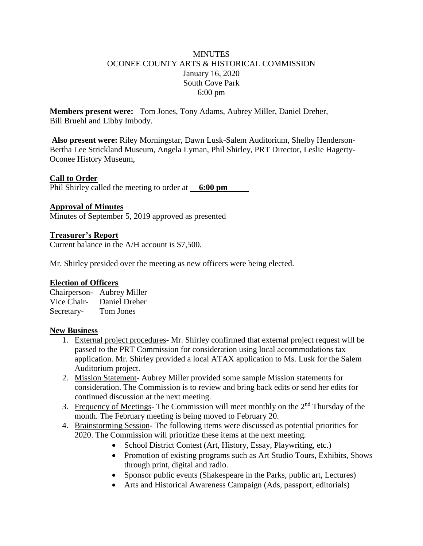## **MINUTES** OCONEE COUNTY ARTS & HISTORICAL COMMISSION January 16, 2020 South Cove Park 6:00 pm

**Members present were:** Tom Jones, Tony Adams, Aubrey Miller, Daniel Dreher, Bill Bruehl and Libby Imbody.

**Also present were:** Riley Morningstar, Dawn Lusk-Salem Auditorium, Shelby Henderson-Bertha Lee Strickland Museum, Angela Lyman, Phil Shirley, PRT Director, Leslie Hagerty-Oconee History Museum,

## **Call to Order**

Phil Shirley called the meeting to order at **6:00 pm** 

#### **Approval of Minutes**

Minutes of September 5, 2019 approved as presented

## **Treasurer's Report**

Current balance in the A/H account is \$7,500.

Mr. Shirley presided over the meeting as new officers were being elected.

#### **Election of Officers**

Chairperson- Aubrey Miller Vice Chair- Daniel Dreher Secretary- Tom Jones

#### **New Business**

- 1. External project procedures- Mr. Shirley confirmed that external project request will be passed to the PRT Commission for consideration using local accommodations tax application. Mr. Shirley provided a local ATAX application to Ms. Lusk for the Salem Auditorium project.
- 2. Mission Statement- Aubrey Miller provided some sample Mission statements for consideration. The Commission is to review and bring back edits or send her edits for continued discussion at the next meeting.
- 3. Frequency of Meetings- The Commission will meet monthly on the  $2<sup>nd</sup>$  Thursday of the month. The February meeting is being moved to February 20.
- 4. Brainstorming Session- The following items were discussed as potential priorities for 2020. The Commission will prioritize these items at the next meeting.
	- School District Contest (Art, History, Essay, Playwriting, etc.)
	- Promotion of existing programs such as Art Studio Tours, Exhibits, Shows through print, digital and radio.
	- Sponsor public events (Shakespeare in the Parks, public art, Lectures)
	- Arts and Historical Awareness Campaign (Ads, passport, editorials)